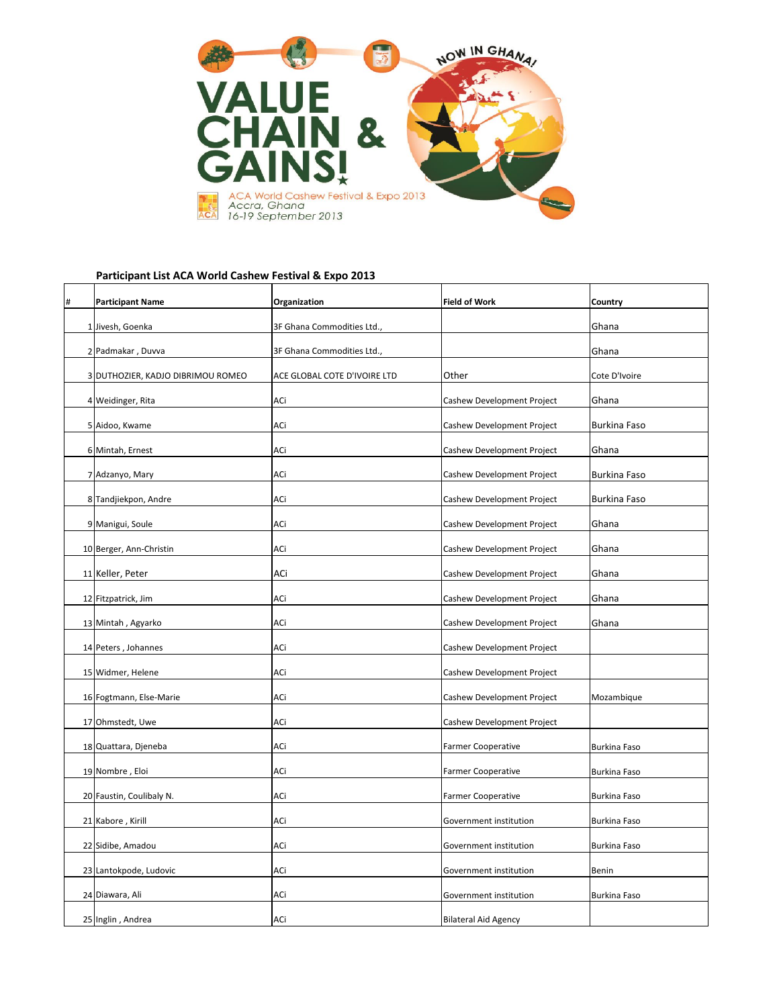| # | <b>Participant Name</b>           | Organization                 | <b>Field of Work</b>              | <b>Country</b>      |
|---|-----------------------------------|------------------------------|-----------------------------------|---------------------|
|   | 1 Jivesh, Goenka                  | 3F Ghana Commodities Ltd.,   |                                   | Ghana               |
|   | 2 Padmakar, Duvva                 | 3F Ghana Commodities Ltd.,   |                                   | Ghana               |
|   | 3 DUTHOZIER, KADJO DIBRIMOU ROMEO | ACE GLOBAL COTE D'IVOIRE LTD | Other                             | Cote D'Ivoire       |
|   | 4 Weidinger, Rita                 | ACi                          | Cashew Development Project        | Ghana               |
|   | 5 Aidoo, Kwame                    | ACi                          | Cashew Development Project        | <b>Burkina Faso</b> |
|   | 6 Mintah, Ernest                  | ACi                          | Cashew Development Project        | Ghana               |
|   | 7 Adzanyo, Mary                   | ACi                          | Cashew Development Project        | <b>Burkina Faso</b> |
|   | 8 Tandjiekpon, Andre              | ACi                          | Cashew Development Project        | <b>Burkina Faso</b> |
|   | 9 Manigui, Soule                  | ACi                          | Cashew Development Project        | Ghana               |
|   | 10 Berger, Ann-Christin           | ACi                          | Cashew Development Project        | Ghana               |
|   | 11 Keller, Peter                  | ACi                          | Cashew Development Project        | Ghana               |
|   | 12 Fitzpatrick, Jim               | ACi                          | Cashew Development Project        | Ghana               |
|   | 13 Mintah, Agyarko                | ACi                          | Cashew Development Project        | Ghana               |
|   | 14 Peters, Johannes               | ACi                          | Cashew Development Project        |                     |
|   | 15 Widmer, Helene                 | ACi                          | <b>Cashew Development Project</b> |                     |
|   | 16 Fogtmann, Else-Marie           | ACi                          | <b>Cashew Development Project</b> | Mozambique          |
|   | 17 Ohmstedt, Uwe                  | ACi                          | <b>Cashew Development Project</b> |                     |
|   | 18 Quattara, Djeneba              | ACi                          | <b>Farmer Cooperative</b>         | <b>Burkina Faso</b> |
|   | 19 Nombre, Eloi                   | <b>ACi</b>                   | <b>Farmer Cooperative</b>         | <b>Burkina Faso</b> |
|   | 20 Faustin, Coulibaly N.          | ACi                          | <b>Farmer Cooperative</b>         | <b>Burkina Faso</b> |
|   | 21 Kabore, Kirill                 | ACi                          | Government institution            | <b>Burkina Faso</b> |
|   | 22 Sidibe, Amadou                 | ACi                          | Government institution            | <b>Burkina Faso</b> |
|   | 23 Lantokpode, Ludovic            | ACi                          | Government institution            | <b>Benin</b>        |
|   | 24 Diawara, Ali                   | ACi                          | Government institution            | <b>Burkina Faso</b> |
|   | 25 Inglin, Andrea                 | ACi                          | <b>Bilateral Aid Agency</b>       |                     |



## **Participant List ACA World Cashew Festival & Expo 2013**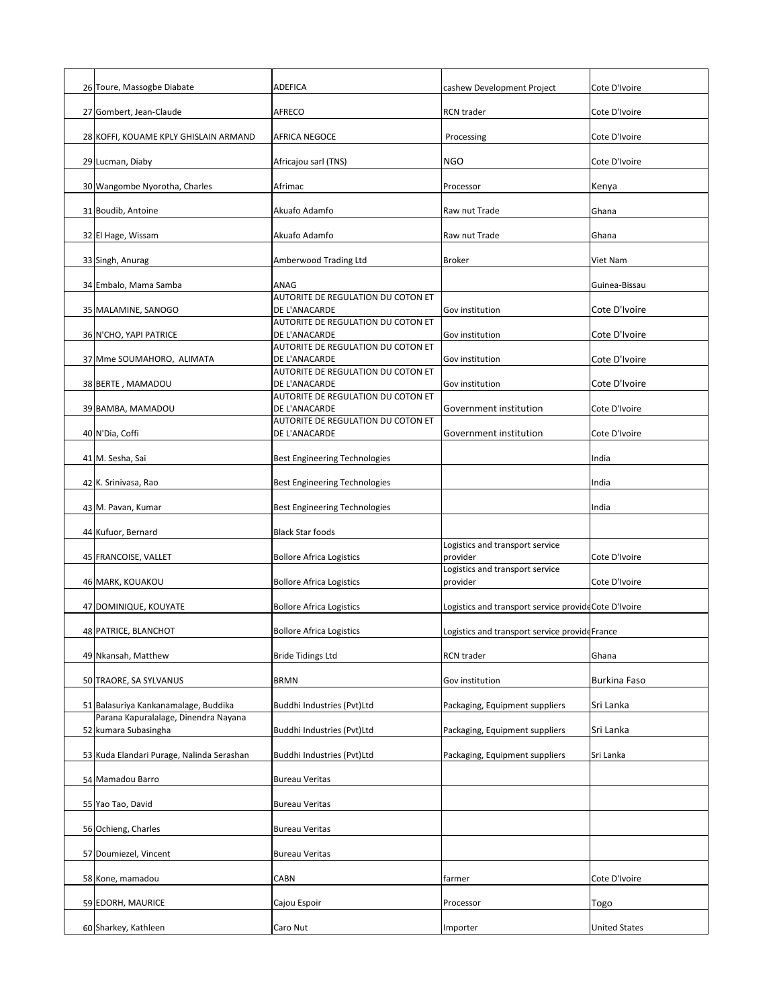| 26 Toure, Massogbe Diabate                                   | <b>ADEFICA</b>                                      | cashew Development Project                            | Cote D'Ivoire        |
|--------------------------------------------------------------|-----------------------------------------------------|-------------------------------------------------------|----------------------|
| 27 Gombert, Jean-Claude                                      | <b>AFRECO</b>                                       | <b>RCN</b> trader                                     | Cote D'Ivoire        |
| 28 KOFFI, KOUAME KPLY GHISLAIN ARMAND                        | <b>AFRICA NEGOCE</b>                                | Processing                                            | Cote D'Ivoire        |
| 29 Lucman, Diaby                                             | Africajou sarl (TNS)                                | <b>NGO</b>                                            | Cote D'Ivoire        |
| 30 Wangombe Nyorotha, Charles                                | Afrimac                                             | Processor                                             | Kenya                |
| 31 Boudib, Antoine                                           | Akuafo Adamfo                                       | Raw nut Trade                                         | Ghana                |
| 32 El Hage, Wissam                                           | Akuafo Adamfo                                       | Raw nut Trade                                         | Ghana                |
| 33 Singh, Anurag                                             | Amberwood Trading Ltd                               | <b>Broker</b>                                         | Viet Nam             |
| 34 Embalo, Mama Samba                                        | ANAG                                                |                                                       | Guinea-Bissau        |
| 35 MALAMINE, SANOGO                                          | AUTORITE DE REGULATION DU COTON ET<br>DE L'ANACARDE | <b>Gov</b> institution                                | Cote D'Ivoire        |
| 36 N'CHO, YAPI PATRICE                                       | AUTORITE DE REGULATION DU COTON ET<br>DE L'ANACARDE | Gov institution                                       | Cote D'Ivoire        |
| 37 Mme SOUMAHORO, ALIMATA                                    | AUTORITE DE REGULATION DU COTON ET<br>DE L'ANACARDE | <b>Gov institution</b>                                | Cote D'Ivoire        |
| 38 BERTE, MAMADOU                                            | AUTORITE DE REGULATION DU COTON ET<br>DE L'ANACARDE | <b>Gov institution</b>                                | Cote D'Ivoire        |
| 39 BAMBA, MAMADOU                                            | AUTORITE DE REGULATION DU COTON ET<br>DE L'ANACARDE | Government institution                                | Cote D'Ivoire        |
|                                                              | AUTORITE DE REGULATION DU COTON ET                  | Government institution                                |                      |
| 40 N'Dia, Coffi                                              | DE L'ANACARDE                                       |                                                       | Cote D'Ivoire        |
| 41 M. Sesha, Sai                                             | <b>Best Engineering Technologies</b>                |                                                       | India                |
| 42 K. Srinivasa, Rao                                         | <b>Best Engineering Technologies</b>                |                                                       | India                |
| 43 M. Pavan, Kumar                                           | <b>Best Engineering Technologies</b>                |                                                       | India                |
| 44 Kufuor, Bernard                                           | <b>Black Star foods</b>                             | Logistics and transport service                       |                      |
| 45 FRANCOISE, VALLET                                         | <b>Bollore Africa Logistics</b>                     | provider<br>Logistics and transport service           | Cote D'Ivoire        |
| 46 MARK, KOUAKOU                                             | <b>Bollore Africa Logistics</b>                     | provider                                              | Cote D'Ivoire        |
| 47 DOMINIQUE, KOUYATE                                        | <b>Bollore Africa Logistics</b>                     | Logistics and transport service provide Cote D'Ivoire |                      |
| 48 PATRICE, BLANCHOT                                         | <b>Bollore Africa Logistics</b>                     | Logistics and transport service provide France        |                      |
| 49 Nkansah, Matthew                                          | <b>Bride Tidings Ltd</b>                            | <b>RCN</b> trader                                     | Ghana                |
| 50 TRAORE, SA SYLVANUS                                       | <b>BRMN</b>                                         | Gov institution                                       | <b>Burkina Faso</b>  |
| 51 Balasuriya Kankanamalage, Buddika                         | Buddhi Industries (Pvt)Ltd                          | Packaging, Equipment suppliers                        | Sri Lanka            |
| Parana Kapuralalage, Dinendra Nayana<br>52 kumara Subasingha | Buddhi Industries (Pvt)Ltd                          | Packaging, Equipment suppliers                        | Sri Lanka            |
| 53 Kuda Elandari Purage, Nalinda Serashan                    | Buddhi Industries (Pvt)Ltd                          | Packaging, Equipment suppliers                        | Sri Lanka            |
| 54 Mamadou Barro                                             | <b>Bureau Veritas</b>                               |                                                       |                      |
| 55 Yao Tao, David                                            | <b>Bureau Veritas</b>                               |                                                       |                      |
| 56 Ochieng, Charles                                          | <b>Bureau Veritas</b>                               |                                                       |                      |
| 57 Doumiezel, Vincent                                        | <b>Bureau Veritas</b>                               |                                                       |                      |
| 58 Kone, mamadou                                             | <b>CABN</b>                                         | farmer                                                | Cote D'Ivoire        |
| 59 EDORH, MAURICE                                            | Cajou Espoir                                        | Processor                                             | Togo                 |
| 60 Sharkey, Kathleen                                         | Caro Nut                                            | Importer                                              | <b>United States</b> |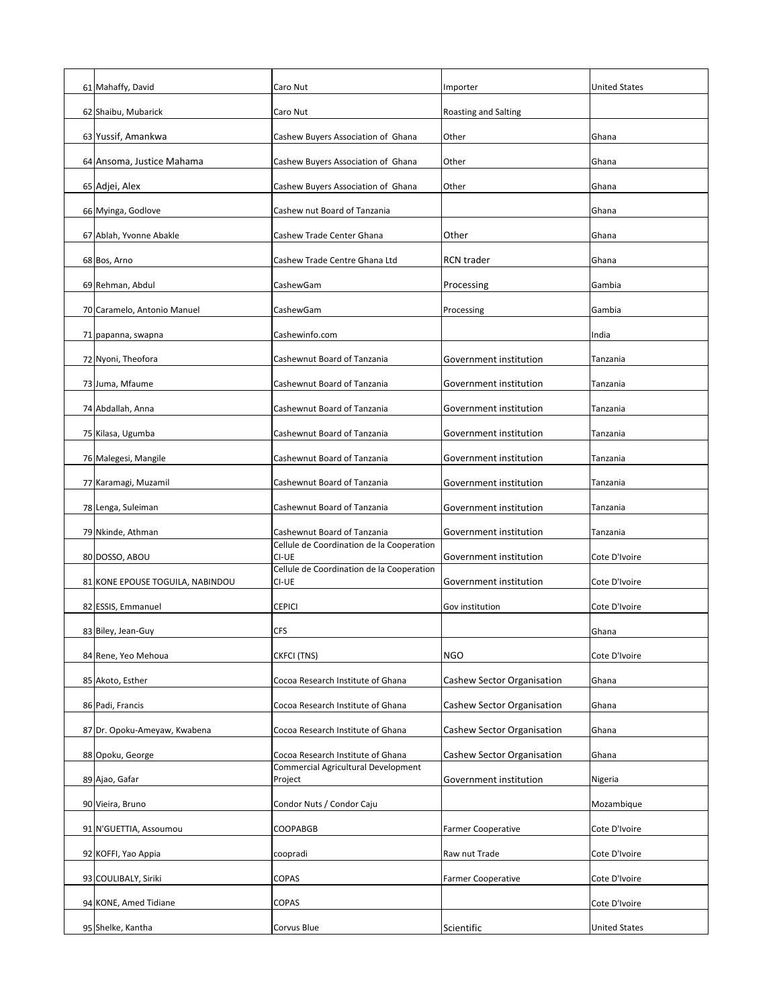| 61 Mahaffy, David                | Caro Nut                                           | Importer                   | <b>United States</b> |
|----------------------------------|----------------------------------------------------|----------------------------|----------------------|
| 62 Shaibu, Mubarick              | Caro Nut                                           | Roasting and Salting       |                      |
| 63 Yussif, Amankwa               | Cashew Buyers Association of Ghana                 | Other                      | Ghana                |
| 64 Ansoma, Justice Mahama        | Cashew Buyers Association of Ghana                 | Other                      | Ghana                |
| 65 Adjei, Alex                   | Cashew Buyers Association of Ghana                 | Other                      | Ghana                |
| 66 Myinga, Godlove               | Cashew nut Board of Tanzania                       |                            | Ghana                |
| 67 Ablah, Yvonne Abakle          | Cashew Trade Center Ghana                          | Other                      | Ghana                |
| 68 Bos, Arno                     | Cashew Trade Centre Ghana Ltd                      | <b>RCN</b> trader          | Ghana                |
| 69 Rehman, Abdul                 | CashewGam                                          | Processing                 | Gambia               |
| 70 Caramelo, Antonio Manuel      | CashewGam                                          | Processing                 | Gambia               |
| 71 papanna, swapna               | Cashewinfo.com                                     |                            | India                |
| 72 Nyoni, Theofora               | Cashewnut Board of Tanzania                        | Government institution     | <b>Tanzania</b>      |
| 73 Juma, Mfaume                  | Cashewnut Board of Tanzania                        | Government institution     | <b>Tanzania</b>      |
| 74 Abdallah, Anna                | Cashewnut Board of Tanzania                        | Government institution     | Tanzania             |
| 75 Kilasa, Ugumba                | <b>Cashewnut Board of Tanzania</b>                 | Government institution     | Tanzania             |
| 76 Malegesi, Mangile             | Cashewnut Board of Tanzania                        | Government institution     | Tanzania             |
| 77 Karamagi, Muzamil             | Cashewnut Board of Tanzania                        | Government institution     | Tanzania             |
| 78 Lenga, Suleiman               | Cashewnut Board of Tanzania                        | Government institution     | Tanzania             |
| 79 Nkinde, Athman                | Cashewnut Board of Tanzania                        | Government institution     | <b>Tanzania</b>      |
| 80 DOSSO, ABOU                   | Cellule de Coordination de la Cooperation<br>CI-UE | Government institution     | Cote D'Ivoire        |
| 81 KONE EPOUSE TOGUILA, NABINDOU | Cellule de Coordination de la Cooperation<br>CI-UE | Government institution     | Cote D'Ivoire        |
| 82 ESSIS, Emmanuel               | <b>CEPICI</b>                                      | Gov institution            | Cote D'Ivoire        |
| 83 Biley, Jean-Guy               | <b>CFS</b>                                         |                            | Ghana                |
| 84 Rene, Yeo Mehoua              | <b>CKFCI (TNS)</b>                                 | <b>NGO</b>                 | Cote D'Ivoire        |
| 85 Akoto, Esther                 | Cocoa Research Institute of Ghana                  | Cashew Sector Organisation | Ghana                |
| 86 Padi, Francis                 | Cocoa Research Institute of Ghana                  | Cashew Sector Organisation | Ghana                |
| 87 Dr. Opoku-Ameyaw, Kwabena     | Cocoa Research Institute of Ghana                  | Cashew Sector Organisation | Ghana                |
| 88 Opoku, George                 | Cocoa Research Institute of Ghana                  | Cashew Sector Organisation | Ghana                |
| 89 Ajao, Gafar                   | Commercial Agricultural Development<br>Project     | Government institution     | Nigeria              |
| 90 Vieira, Bruno                 | Condor Nuts / Condor Caju                          |                            | Mozambique           |
| 91 N'GUETTIA, Assoumou           | <b>COOPABGB</b>                                    | <b>Farmer Cooperative</b>  | Cote D'Ivoire        |
| 92 KOFFI, Yao Appia              | coopradi                                           | Raw nut Trade              | Cote D'Ivoire        |
| 93 COULIBALY, Siriki             | <b>COPAS</b>                                       | <b>Farmer Cooperative</b>  | Cote D'Ivoire        |
| 94 KONE, Amed Tidiane            | <b>COPAS</b>                                       |                            | Cote D'Ivoire        |
| 95 Shelke, Kantha                | Corvus Blue                                        | Scientific                 | <b>United States</b> |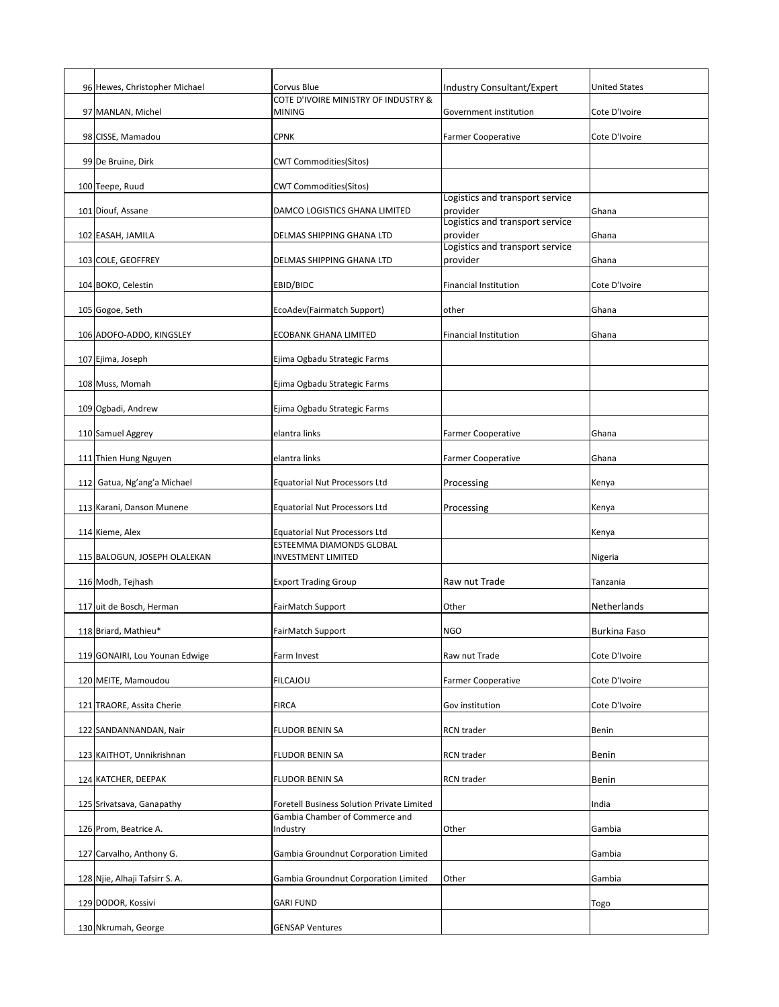| 96 Hewes, Christopher Michael  | Corvus Blue                                                             | <b>Industry Consultant/Expert</b>           | <b>United States</b> |
|--------------------------------|-------------------------------------------------------------------------|---------------------------------------------|----------------------|
| 97 MANLAN, Michel              | COTE D'IVOIRE MINISTRY OF INDUSTRY &<br><b>MINING</b>                   | Government institution                      | Cote D'Ivoire        |
| 98 CISSE, Mamadou              | <b>CPNK</b>                                                             | <b>Farmer Cooperative</b>                   | Cote D'Ivoire        |
| 99 De Bruine, Dirk             | <b>CWT Commodities(Sitos)</b>                                           |                                             |                      |
|                                |                                                                         |                                             |                      |
| 100 Teepe, Ruud                | <b>CWT Commodities(Sitos)</b>                                           | Logistics and transport service             |                      |
| 101 Diouf, Assane              | DAMCO LOGISTICS GHANA LIMITED                                           | provider<br>Logistics and transport service | Ghana                |
| 102 EASAH, JAMILA              | <b>DELMAS SHIPPING GHANA LTD</b>                                        | provider<br>Logistics and transport service | Ghana                |
| 103 COLE, GEOFFREY             | <b>DELMAS SHIPPING GHANA LTD</b>                                        | provider                                    | Ghana                |
| 104 BOKO, Celestin             | EBID/BIDC                                                               | <b>Financial Institution</b>                | Cote D'Ivoire        |
| 105 Gogoe, Seth                | EcoAdev(Fairmatch Support)                                              | other                                       | Ghana                |
| 106 ADOFO-ADDO, KINGSLEY       | <b>ECOBANK GHANA LIMITED</b>                                            | <b>Financial Institution</b>                | Ghana                |
| 107 Ejima, Joseph              | Ejima Ogbadu Strategic Farms                                            |                                             |                      |
| 108 Muss, Momah                | Ejima Ogbadu Strategic Farms                                            |                                             |                      |
| 109 Ogbadi, Andrew             | Ejima Ogbadu Strategic Farms                                            |                                             |                      |
| 110 Samuel Aggrey              | elantra links                                                           | <b>Farmer Cooperative</b>                   | Ghana                |
| 111 Thien Hung Nguyen          | elantra links                                                           | <b>Farmer Cooperative</b>                   | Ghana                |
| 112 Gatua, Ng'ang'a Michael    | <b>Equatorial Nut Processors Ltd</b>                                    |                                             |                      |
|                                |                                                                         | Processing                                  | Kenya                |
| 113 Karani, Danson Munene      | <b>Equatorial Nut Processors Ltd</b>                                    | Processing                                  | Kenya                |
| 114 Kieme, Alex                | <b>Equatorial Nut Processors Ltd</b><br><b>ESTEEMMA DIAMONDS GLOBAL</b> |                                             | Kenya                |
| 115 BALOGUN, JOSEPH OLALEKAN   | <b>INVESTMENT LIMITED</b>                                               |                                             | Nigeria              |
| 116 Modh, Tejhash              | <b>Export Trading Group</b>                                             | Raw nut Trade                               | Tanzania             |
| 117 uit de Bosch, Herman       | FairMatch Support                                                       | Other                                       | Netherlands          |
| 118 Briard, Mathieu*           | FairMatch Support                                                       | <b>NGO</b>                                  | <b>Burkina Faso</b>  |
| 119 GONAIRI, Lou Younan Edwige | Farm Invest                                                             | Raw nut Trade                               | Cote D'Ivoire        |
| 120 MEITE, Mamoudou            | <b>FILCAJOU</b>                                                         | <b>Farmer Cooperative</b>                   | Cote D'Ivoire        |
| 121 TRAORE, Assita Cherie      | <b>FIRCA</b>                                                            | Gov institution                             | Cote D'Ivoire        |
| 122 SANDANNANDAN, Nair         | <b>FLUDOR BENIN SA</b>                                                  | <b>RCN</b> trader                           | <b>Benin</b>         |
| 123 KAITHOT, Unnikrishnan      | FLUDOR BENIN SA                                                         | <b>RCN</b> trader                           | Benin                |
| 124 KATCHER, DEEPAK            | <b>FLUDOR BENIN SA</b>                                                  | <b>RCN</b> trader                           | Benin                |
| 125 Srivatsava, Ganapathy      | <b>Foretell Business Solution Private Limited</b>                       |                                             | India                |
| 126 Prom, Beatrice A.          | Gambia Chamber of Commerce and<br>Industry                              | Other                                       | Gambia               |
|                                |                                                                         |                                             |                      |
| 127 Carvalho, Anthony G.       | Gambia Groundnut Corporation Limited                                    |                                             | Gambia               |
| 128 Njie, Alhaji Tafsirr S. A. | Gambia Groundnut Corporation Limited                                    | Other                                       | Gambia               |
| 129 DODOR, Kossivi             | <b>GARI FUND</b>                                                        |                                             | <b>Togo</b>          |
| 130 Nkrumah, George            | <b>GENSAP Ventures</b>                                                  |                                             |                      |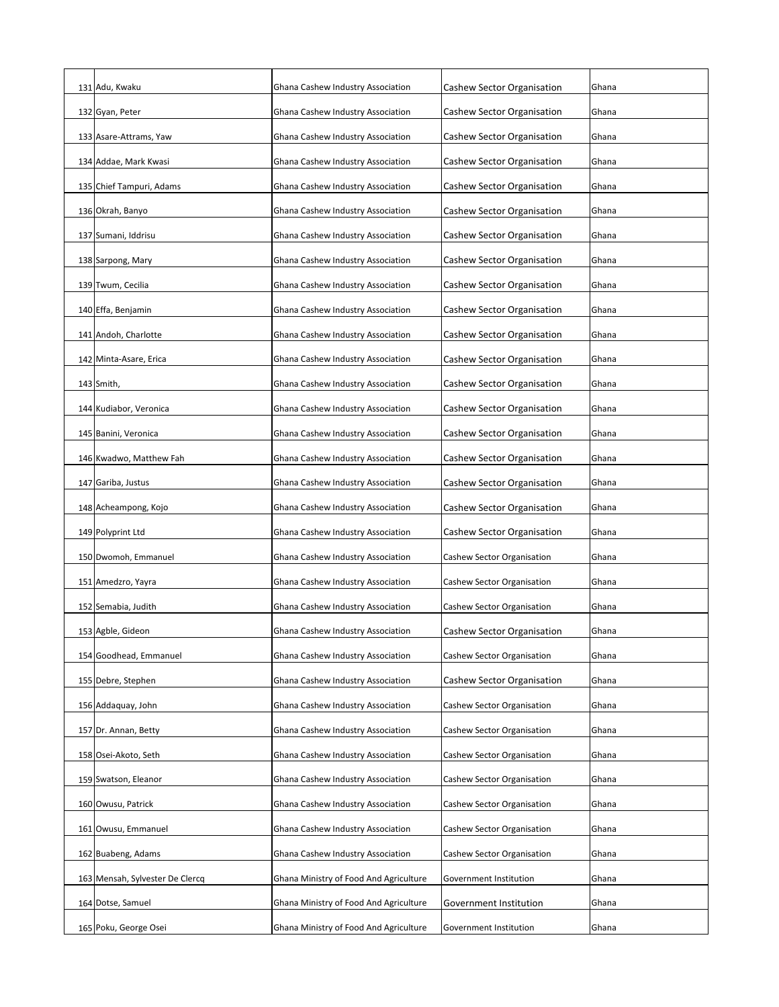| 131 Adu, Kwaku                  | Ghana Cashew Industry Association      | <b>Cashew Sector Organisation</b> | Ghana |
|---------------------------------|----------------------------------------|-----------------------------------|-------|
| 132 Gyan, Peter                 | Ghana Cashew Industry Association      | Cashew Sector Organisation        | Ghana |
| 133 Asare-Attrams, Yaw          | Ghana Cashew Industry Association      | Cashew Sector Organisation        | Ghana |
| 134 Addae, Mark Kwasi           | Ghana Cashew Industry Association      | Cashew Sector Organisation        | Ghana |
| 135 Chief Tampuri, Adams        | Ghana Cashew Industry Association      | Cashew Sector Organisation        | Ghana |
| 136 Okrah, Banyo                | Ghana Cashew Industry Association      | Cashew Sector Organisation        | Ghana |
| 137 Sumani, Iddrisu             | Ghana Cashew Industry Association      | Cashew Sector Organisation        | Ghana |
| 138 Sarpong, Mary               | Ghana Cashew Industry Association      | Cashew Sector Organisation        | Ghana |
| 139 Twum, Cecilia               | Ghana Cashew Industry Association      | Cashew Sector Organisation        | Ghana |
| 140 Effa, Benjamin              | Ghana Cashew Industry Association      | Cashew Sector Organisation        | Ghana |
| 141 Andoh, Charlotte            | Ghana Cashew Industry Association      | Cashew Sector Organisation        | Ghana |
| 142 Minta-Asare, Erica          | Ghana Cashew Industry Association      | Cashew Sector Organisation        | Ghana |
| $143$ Smith,                    | Ghana Cashew Industry Association      | Cashew Sector Organisation        | Ghana |
| 144 Kudiabor, Veronica          | Ghana Cashew Industry Association      | Cashew Sector Organisation        | Ghana |
| 145 Banini, Veronica            | Ghana Cashew Industry Association      | Cashew Sector Organisation        | Ghana |
| 146 Kwadwo, Matthew Fah         | Ghana Cashew Industry Association      | Cashew Sector Organisation        | Ghana |
| 147 Gariba, Justus              | Ghana Cashew Industry Association      | <b>Cashew Sector Organisation</b> | Ghana |
| 148 Acheampong, Kojo            | Ghana Cashew Industry Association      | Cashew Sector Organisation        | Ghana |
| 149 Polyprint Ltd               | Ghana Cashew Industry Association      | Cashew Sector Organisation        | Ghana |
| 150 Dwomoh, Emmanuel            | Ghana Cashew Industry Association      | Cashew Sector Organisation        | Ghana |
| 151 Amedzro, Yayra              | Ghana Cashew Industry Association      | Cashew Sector Organisation        | Ghana |
| 152 Semabia, Judith             | Ghana Cashew Industry Association      | Cashew Sector Organisation        | Ghana |
| 153 Agble, Gideon               | Ghana Cashew Industry Association      | Cashew Sector Organisation        | Ghana |
| 154 Goodhead, Emmanuel          | Ghana Cashew Industry Association      | Cashew Sector Organisation        | Ghana |
| 155 Debre, Stephen              | Ghana Cashew Industry Association      | Cashew Sector Organisation        | Ghana |
| 156 Addaquay, John              | Ghana Cashew Industry Association      | Cashew Sector Organisation        | Ghana |
| 157 Dr. Annan, Betty            | Ghana Cashew Industry Association      | Cashew Sector Organisation        | Ghana |
| 158 Osei-Akoto, Seth            | Ghana Cashew Industry Association      | Cashew Sector Organisation        | Ghana |
| 159 Swatson, Eleanor            | Ghana Cashew Industry Association      | Cashew Sector Organisation        | Ghana |
| 160 Owusu, Patrick              | Ghana Cashew Industry Association      | Cashew Sector Organisation        | Ghana |
| 161 Owusu, Emmanuel             | Ghana Cashew Industry Association      | Cashew Sector Organisation        | Ghana |
| 162 Buabeng, Adams              | Ghana Cashew Industry Association      | <b>Cashew Sector Organisation</b> | Ghana |
| 163 Mensah, Sylvester De Clercq | Ghana Ministry of Food And Agriculture | Government Institution            | Ghana |
| 164 Dotse, Samuel               | Ghana Ministry of Food And Agriculture | Government Institution            | Ghana |
| 165 Poku, George Osei           | Ghana Ministry of Food And Agriculture | Government Institution            | Ghana |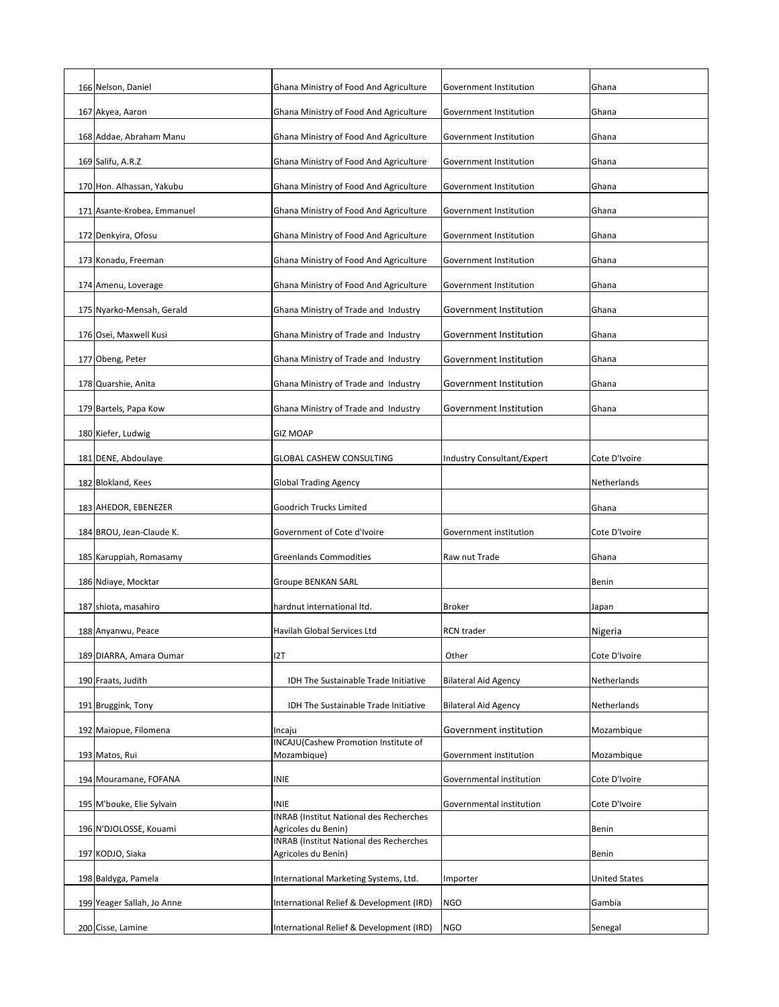| 166 Nelson, Daniel          | Ghana Ministry of Food And Agriculture                                | Government Institution      | Ghana                |
|-----------------------------|-----------------------------------------------------------------------|-----------------------------|----------------------|
| 167 Akyea, Aaron            | Ghana Ministry of Food And Agriculture                                | Government Institution      | Ghana                |
| 168 Addae, Abraham Manu     | Ghana Ministry of Food And Agriculture                                | Government Institution      | Ghana                |
| 169 Salifu, A.R.Z           | Ghana Ministry of Food And Agriculture                                | Government Institution      | Ghana                |
| 170 Hon. Alhassan, Yakubu   | Ghana Ministry of Food And Agriculture                                | Government Institution      | Ghana                |
| 171 Asante-Krobea, Emmanuel | Ghana Ministry of Food And Agriculture                                | Government Institution      | Ghana                |
| 172 Denkyira, Ofosu         | Ghana Ministry of Food And Agriculture                                | Government Institution      | Ghana                |
| 173 Konadu, Freeman         | Ghana Ministry of Food And Agriculture                                | Government Institution      | Ghana                |
| 174 Amenu, Loverage         | Ghana Ministry of Food And Agriculture                                | Government Institution      | Ghana                |
| 175 Nyarko-Mensah, Gerald   | Ghana Ministry of Trade and Industry                                  | Government Institution      | Ghana                |
| 176 Osei, Maxwell Kusi      | Ghana Ministry of Trade and Industry                                  | Government Institution      | Ghana                |
| 177 Obeng, Peter            | Ghana Ministry of Trade and Industry                                  | Government Institution      | Ghana                |
| 178 Quarshie, Anita         | Ghana Ministry of Trade and Industry                                  | Government Institution      | Ghana                |
| 179 Bartels, Papa Kow       | Ghana Ministry of Trade and Industry                                  | Government Institution      | Ghana                |
| 180 Kiefer, Ludwig          | <b>GIZ MOAP</b>                                                       |                             |                      |
| 181 DENE, Abdoulaye         | <b>GLOBAL CASHEW CONSULTING</b>                                       | Industry Consultant/Expert  | Cote D'Ivoire        |
| 182 Blokland, Kees          | <b>Global Trading Agency</b>                                          |                             | Netherlands          |
| 183 AHEDOR, EBENEZER        | <b>Goodrich Trucks Limited</b>                                        |                             | Ghana                |
| 184 BROU, Jean-Claude K.    | Government of Cote d'Ivoire                                           | Government institution      | Cote D'Ivoire        |
| 185 Karuppiah, Romasamy     | <b>Greenlands Commodities</b>                                         | Raw nut Trade               | Ghana                |
| 186 Ndiaye, Mocktar         | <b>Groupe BENKAN SARL</b>                                             |                             | <b>Benin</b>         |
| 187 shiota, masahiro        | hardnut international ltd.                                            | <b>Broker</b>               | Japan                |
| 188 Anyanwu, Peace          | Havilah Global Services Ltd                                           | <b>RCN</b> trader           | Nigeria              |
| 189 DIARRA, Amara Oumar     | 12T                                                                   | Other                       | Cote D'Ivoire        |
| 190 Fraats, Judith          | IDH The Sustainable Trade Initiative                                  | <b>Bilateral Aid Agency</b> | Netherlands          |
| 191 Bruggink, Tony          | IDH The Sustainable Trade Initiative                                  | <b>Bilateral Aid Agency</b> | Netherlands          |
| 192 Maiopue, Filomena       | Incaju                                                                | Government institution      | Mozambique           |
| 193 Matos, Rui              | INCAJU(Cashew Promotion Institute of<br>Mozambique)                   | Government institution      | Mozambique           |
| 194 Mouramane, FOFANA       | <b>INIE</b>                                                           | Governmental institution    | Cote D'Ivoire        |
| 195 M'bouke, Elie Sylvain   | <b>INIE</b>                                                           | Governmental institution    | Cote D'Ivoire        |
| 196 N'DJOLOSSE, Kouami      | <b>INRAB (Institut National des Recherches</b><br>Agricoles du Benin) |                             | <b>Benin</b>         |
| 197 KODJO, Siaka            | <b>INRAB</b> (Institut National des Recherches<br>Agricoles du Benin) |                             | <b>Benin</b>         |
| 198 Baldyga, Pamela         | International Marketing Systems, Ltd.                                 | Importer                    | <b>United States</b> |
| 199 Yeager Sallah, Jo Anne  | International Relief & Development (IRD)                              | <b>NGO</b>                  | Gambia               |
| 200 Cisse, Lamine           | International Relief & Development (IRD)                              | <b>NGO</b>                  | Senegal              |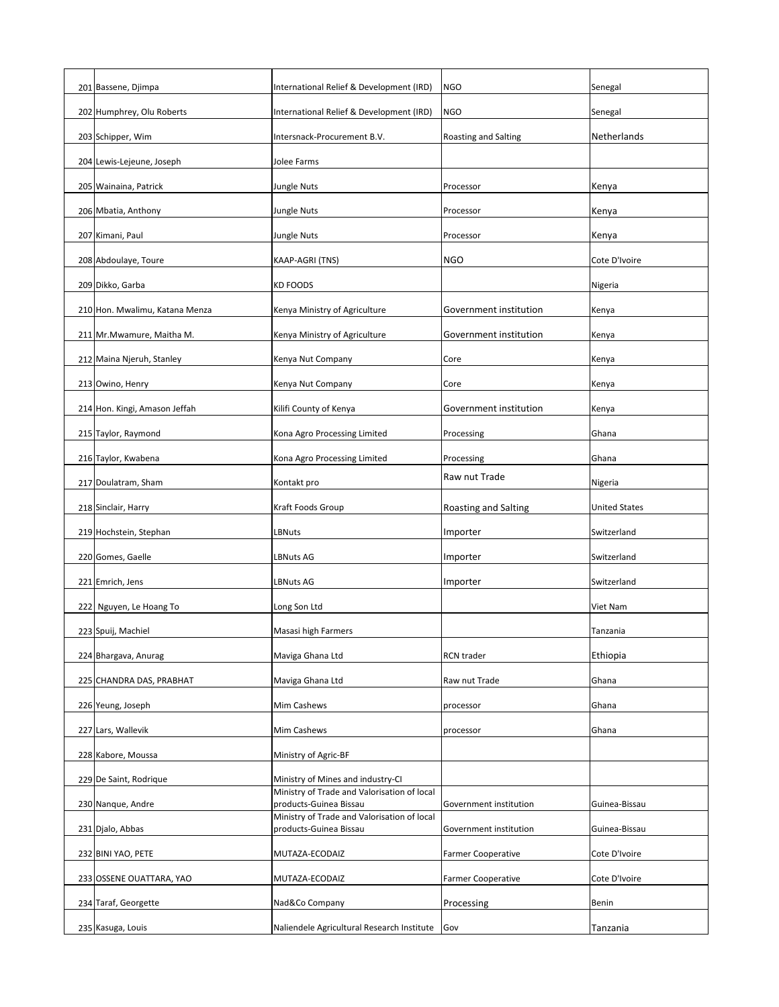| 201 Bassene, Djimpa            | International Relief & Development (IRD)                                         | <b>NGO</b>                  | Senegal              |
|--------------------------------|----------------------------------------------------------------------------------|-----------------------------|----------------------|
| 202 Humphrey, Olu Roberts      | International Relief & Development (IRD)                                         | <b>NGO</b>                  | Senegal              |
| 203 Schipper, Wim              | Intersnack-Procurement B.V.                                                      | <b>Roasting and Salting</b> | Netherlands          |
| 204 Lewis-Lejeune, Joseph      | Jolee Farms                                                                      |                             |                      |
| 205 Wainaina, Patrick          | <b>Jungle Nuts</b>                                                               | Processor                   | Kenya                |
| 206 Mbatia, Anthony            | Jungle Nuts                                                                      | Processor                   | Kenya                |
| 207 Kimani, Paul               | Jungle Nuts                                                                      | Processor                   | Kenya                |
| 208 Abdoulaye, Toure           | KAAP-AGRI (TNS)                                                                  | <b>NGO</b>                  | Cote D'Ivoire        |
| 209 Dikko, Garba               | <b>KD FOODS</b>                                                                  |                             | Nigeria              |
| 210 Hon. Mwalimu, Katana Menza | Kenya Ministry of Agriculture                                                    | Government institution      | Kenya                |
| 211 Mr. Mwamure, Maitha M.     | Kenya Ministry of Agriculture                                                    | Government institution      | Kenya                |
| 212 Maina Njeruh, Stanley      | Kenya Nut Company                                                                | Core                        | Kenya                |
| 213 Owino, Henry               | Kenya Nut Company                                                                | Core                        | Kenya                |
| 214 Hon. Kingi, Amason Jeffah  | Kilifi County of Kenya                                                           | Government institution      | Kenya                |
| 215 Taylor, Raymond            | Kona Agro Processing Limited                                                     | Processing                  | Ghana                |
| 216 Taylor, Kwabena            | Kona Agro Processing Limited                                                     | Processing                  | Ghana                |
| 217 Doulatram, Sham            | Kontakt pro                                                                      | Raw nut Trade               | Nigeria              |
| 218 Sinclair, Harry            | Kraft Foods Group                                                                | Roasting and Salting        | <b>United States</b> |
| 219 Hochstein, Stephan         | LBNuts                                                                           | Importer                    | Switzerland          |
| 220 Gomes, Gaelle              | <b>LBNuts AG</b>                                                                 | Importer                    | Switzerland          |
| 221 Emrich, Jens               |                                                                                  |                             | Switzerland          |
|                                | <b>LBNuts AG</b>                                                                 | Importer                    |                      |
| 222 Nguyen, Le Hoang To        | Long Son Ltd                                                                     |                             | Viet Nam             |
| 223 Spuij, Machiel             | Masasi high Farmers                                                              |                             | Tanzania             |
| 224 Bhargava, Anurag           | Maviga Ghana Ltd                                                                 | <b>RCN</b> trader           | Ethiopia             |
| 225 CHANDRA DAS, PRABHAT       | Maviga Ghana Ltd                                                                 | Raw nut Trade               | Ghana                |
| 226 Yeung, Joseph              | <b>Mim Cashews</b>                                                               | processor                   | Ghana                |
| 227 Lars, Wallevik             | Mim Cashews                                                                      | processor                   | Ghana                |
| 228 Kabore, Moussa             | Ministry of Agric-BF                                                             |                             |                      |
| 229 De Saint, Rodrique         | Ministry of Mines and industry-CI<br>Ministry of Trade and Valorisation of local |                             |                      |
| 230 Nanque, Andre              | products-Guinea Bissau<br>Ministry of Trade and Valorisation of local            | Government institution      | Guinea-Bissau        |
| 231 Djalo, Abbas               | products-Guinea Bissau                                                           | Government institution      | Guinea-Bissau        |
| 232 BINI YAO, PETE             | MUTAZA-ECODAIZ                                                                   | <b>Farmer Cooperative</b>   | Cote D'Ivoire        |
| 233 OSSENE OUATTARA, YAO       | MUTAZA-ECODAIZ                                                                   | <b>Farmer Cooperative</b>   | Cote D'Ivoire        |
| 234 Taraf, Georgette           | Nad&Co Company                                                                   | Processing                  | <b>Benin</b>         |
| 235 Kasuga, Louis              | Naliendele Agricultural Research Institute                                       | Gov                         | Tanzania             |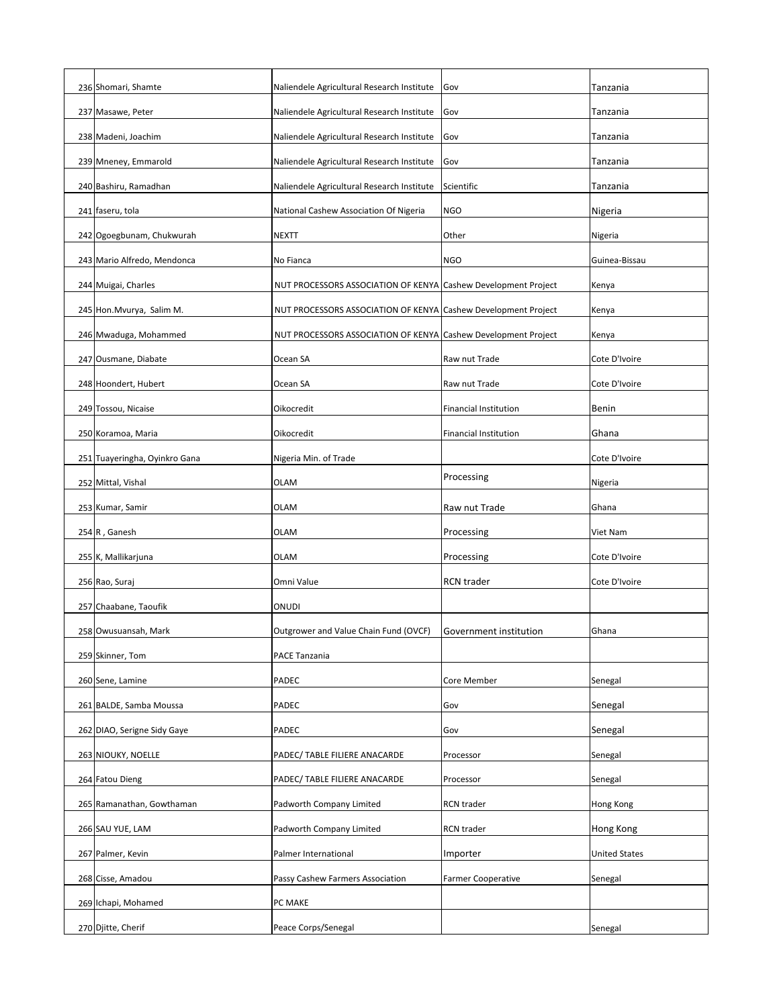| 236 Shomari, Shamte           | Naliendele Agricultural Research Institute                     | Gov                          | Tanzania             |
|-------------------------------|----------------------------------------------------------------|------------------------------|----------------------|
| 237 Masawe, Peter             | Naliendele Agricultural Research Institute                     | Gov                          | Tanzania             |
| 238 Madeni, Joachim           | Naliendele Agricultural Research Institute                     | Gov                          | Tanzania             |
| 239 Mneney, Emmarold          | Naliendele Agricultural Research Institute                     | Gov                          | Tanzania             |
| 240 Bashiru, Ramadhan         | Naliendele Agricultural Research Institute                     | Scientific                   | Tanzania             |
| 241 faseru, tola              | National Cashew Association Of Nigeria                         | <b>NGO</b>                   | Nigeria              |
| 242 Ogoegbunam, Chukwurah     | <b>NEXTT</b>                                                   | Other                        | Nigeria              |
| 243 Mario Alfredo, Mendonca   | No Fianca                                                      | <b>NGO</b>                   | Guinea-Bissau        |
| 244 Muigai, Charles           | NUT PROCESSORS ASSOCIATION OF KENYA Cashew Development Project |                              | Kenya                |
| 245 Hon. Mvurya, Salim M.     | NUT PROCESSORS ASSOCIATION OF KENYA Cashew Development Project |                              | Kenya                |
| 246 Mwaduga, Mohammed         | NUT PROCESSORS ASSOCIATION OF KENYA Cashew Development Project |                              | Kenya                |
| 247 Ousmane, Diabate          | Ocean SA                                                       | Raw nut Trade                | Cote D'Ivoire        |
| 248 Hoondert, Hubert          | Ocean SA                                                       | Raw nut Trade                | Cote D'Ivoire        |
| 249 Tossou, Nicaise           | Oikocredit                                                     | <b>Financial Institution</b> | <b>Benin</b>         |
| 250 Koramoa, Maria            | Oikocredit                                                     | <b>Financial Institution</b> | Ghana                |
| 251 Tuayeringha, Oyinkro Gana | Nigeria Min. of Trade                                          |                              | Cote D'Ivoire        |
| 252 Mittal, Vishal            | <b>OLAM</b>                                                    | Processing                   | Nigeria              |
| 253 Kumar, Samir              | <b>OLAM</b>                                                    | Raw nut Trade                | Ghana                |
| $254 R,$ Ganesh               | <b>OLAM</b>                                                    | Processing                   | <b>Viet Nam</b>      |
| 255 K, Mallikarjuna           | <b>OLAM</b>                                                    | Processing                   | Cote D'Ivoire        |
| 256 Rao, Suraj                | Omni Value                                                     | <b>RCN</b> trader            | Cote D'Ivoire        |
| 257 Chaabane, Taoufik         | ONUDI                                                          |                              |                      |
| 258 Owusuansah, Mark          | Outgrower and Value Chain Fund (OVCF)                          | Government institution       | Ghana                |
| 259 Skinner, Tom              | PACE Tanzania                                                  |                              |                      |
| 260 Sene, Lamine              | <b>PADEC</b>                                                   | Core Member                  | Senegal              |
| 261 BALDE, Samba Moussa       | <b>PADEC</b>                                                   | Gov                          | Senegal              |
| 262 DIAO, Serigne Sidy Gaye   | <b>PADEC</b>                                                   | Gov                          | Senegal              |
| 263 NIOUKY, NOELLE            | PADEC/ TABLE FILIERE ANACARDE                                  | Processor                    | Senegal              |
| 264 Fatou Dieng               | PADEC/ TABLE FILIERE ANACARDE                                  | Processor                    | Senegal              |
| 265 Ramanathan, Gowthaman     | Padworth Company Limited                                       | <b>RCN</b> trader            | <b>Hong Kong</b>     |
| 266 SAU YUE, LAM              | Padworth Company Limited                                       | <b>RCN</b> trader            | <b>Hong Kong</b>     |
| 267 Palmer, Kevin             | Palmer International                                           | Importer                     | <b>United States</b> |
| 268 Cisse, Amadou             | Passy Cashew Farmers Association                               | <b>Farmer Cooperative</b>    | Senegal              |
| 269 Ichapi, Mohamed           | PC MAKE                                                        |                              |                      |
| 270 Djitte, Cherif            | Peace Corps/Senegal                                            |                              | Senegal              |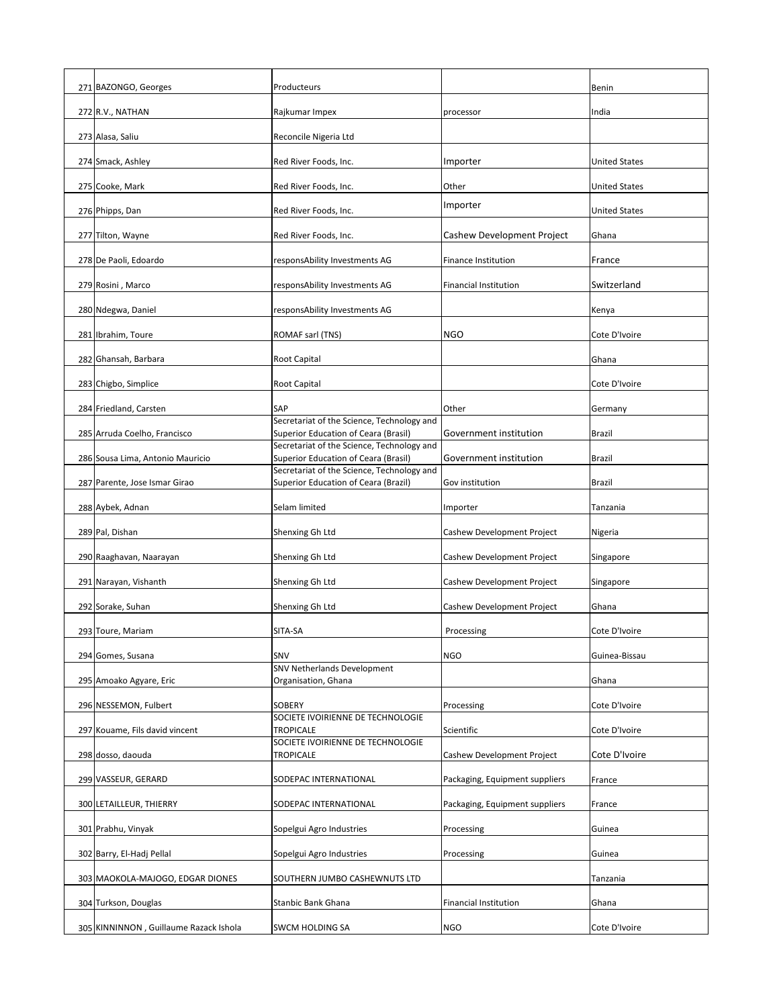| 271 BAZONGO, Georges                   | Producteurs                                                                        |                                   | Benin                |
|----------------------------------------|------------------------------------------------------------------------------------|-----------------------------------|----------------------|
| 272 R.V., NATHAN                       | Rajkumar Impex                                                                     | processor                         | India                |
| 273 Alasa, Saliu                       | Reconcile Nigeria Ltd                                                              |                                   |                      |
| 274 Smack, Ashley                      | Red River Foods, Inc.                                                              | Importer                          | <b>United States</b> |
| 275 Cooke, Mark                        | Red River Foods, Inc.                                                              | Other                             | <b>United States</b> |
| 276 Phipps, Dan                        | Red River Foods, Inc.                                                              | Importer                          | <b>United States</b> |
| 277 Tilton, Wayne                      | Red River Foods, Inc.                                                              | Cashew Development Project        | Ghana                |
| 278 De Paoli, Edoardo                  | responsAbility Investments AG                                                      | <b>Finance Institution</b>        | France               |
| 279 Rosini, Marco                      | responsAbility Investments AG                                                      | <b>Financial Institution</b>      | Switzerland          |
|                                        |                                                                                    |                                   |                      |
| 280 Ndegwa, Daniel                     | responsAbility Investments AG                                                      |                                   | Kenya                |
| 281 Ibrahim, Toure                     | ROMAF sarl (TNS)                                                                   | <b>NGO</b>                        | Cote D'Ivoire        |
| 282 Ghansah, Barbara                   | <b>Root Capital</b>                                                                |                                   | Ghana                |
| 283 Chigbo, Simplice                   | <b>Root Capital</b>                                                                |                                   | Cote D'Ivoire        |
| 284 Friedland, Carsten                 | <b>SAP</b><br>Secretariat of the Science, Technology and                           | Other                             | Germany              |
| 285 Arruda Coelho, Francisco           | Superior Education of Ceara (Brasil)                                               | Government institution            | <b>Brazil</b>        |
| 286 Sousa Lima, Antonio Mauricio       | Secretariat of the Science, Technology and<br>Superior Education of Ceara (Brasil) | Government institution            | <b>Brazil</b>        |
| 287 Parente, Jose Ismar Girao          | Secretariat of the Science, Technology and<br>Superior Education of Ceara (Brazil) | Gov institution                   | <b>Brazil</b>        |
| 288 Aybek, Adnan                       | Selam limited                                                                      | Importer                          | Tanzania             |
| 289 Pal, Dishan                        | Shenxing Gh Ltd                                                                    | Cashew Development Project        | Nigeria              |
| 290 Raaghavan, Naarayan                | Shenxing Gh Ltd                                                                    | <b>Cashew Development Project</b> | Singapore            |
| 291 Narayan, Vishanth                  | Shenxing Gh Ltd                                                                    | Cashew Development Project        | Singapore            |
| 292 Sorake, Suhan                      | Shenxing Gh Ltd                                                                    | Cashew Development Project        | Ghana                |
| 293 Toure, Mariam                      | SITA-SA                                                                            | Processing                        | Cote D'Ivoire        |
|                                        |                                                                                    |                                   |                      |
| 294 Gomes, Susana                      | SNV<br>SNV Netherlands Development                                                 | <b>NGO</b>                        | Guinea-Bissau        |
| 295 Amoako Agyare, Eric                | Organisation, Ghana                                                                |                                   | Ghana                |
| 296 NESSEMON, Fulbert                  | <b>SOBERY</b>                                                                      | Processing                        | Cote D'Ivoire        |
| 297 Kouame, Fils david vincent         | SOCIETE IVOIRIENNE DE TECHNOLOGIE<br><b>TROPICALE</b>                              | Scientific                        | Cote D'Ivoire        |
| 298 dosso, daouda                      | SOCIETE IVOIRIENNE DE TECHNOLOGIE<br><b>TROPICALE</b>                              | Cashew Development Project        | Cote D'Ivoire        |
| 299 VASSEUR, GERARD                    | SODEPAC INTERNATIONAL                                                              | Packaging, Equipment suppliers    | France               |
| 300 LETAILLEUR, THIERRY                | SODEPAC INTERNATIONAL                                                              | Packaging, Equipment suppliers    | France               |
| 301 Prabhu, Vinyak                     | Sopelgui Agro Industries                                                           | Processing                        | Guinea               |
| 302 Barry, El-Hadj Pellal              | Sopelgui Agro Industries                                                           | Processing                        | Guinea               |
| 303 MAOKOLA-MAJOGO, EDGAR DIONES       | SOUTHERN JUMBO CASHEWNUTS LTD                                                      |                                   | Tanzania             |
| 304 Turkson, Douglas                   | <b>Stanbic Bank Ghana</b>                                                          | <b>Financial Institution</b>      | Ghana                |
| 305 KINNINNON, Guillaume Razack Ishola | <b>SWCM HOLDING SA</b>                                                             | <b>NGO</b>                        | Cote D'Ivoire        |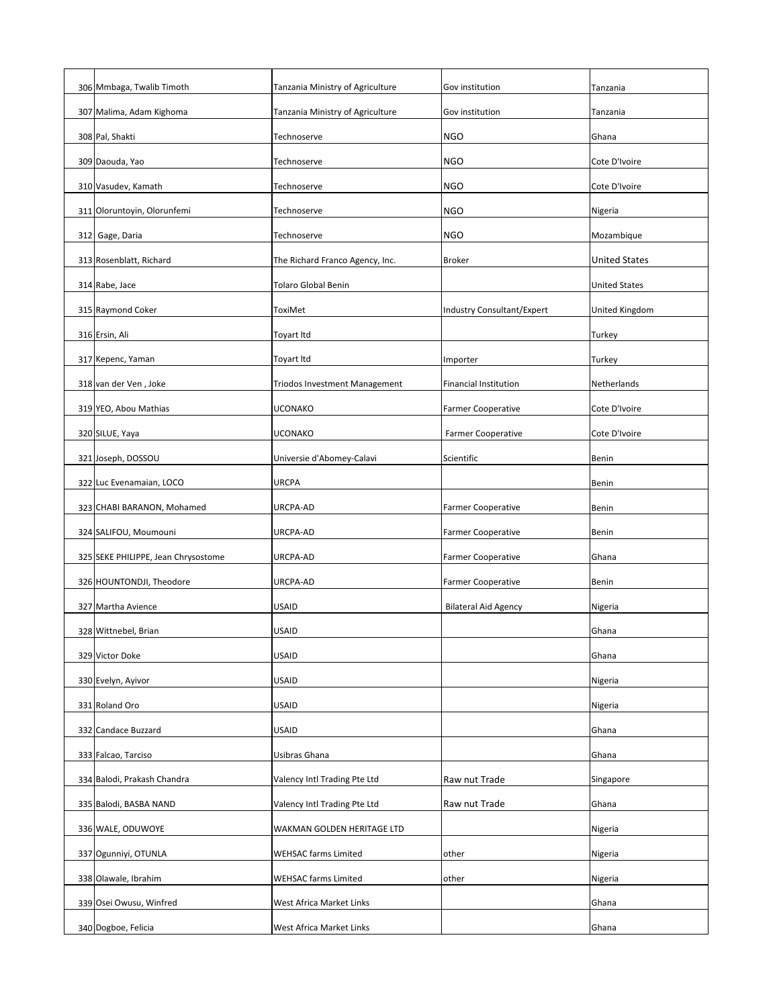| 306 Mmbaga, Twalib Timoth           | Tanzania Ministry of Agriculture     | Gov institution              | Tanzania              |
|-------------------------------------|--------------------------------------|------------------------------|-----------------------|
| 307 Malima, Adam Kighoma            | Tanzania Ministry of Agriculture     | Gov institution              | Tanzania              |
| 308 Pal, Shakti                     | Technoserve                          | <b>NGO</b>                   | Ghana                 |
| 309 Daouda, Yao                     | Technoserve                          | <b>NGO</b>                   | Cote D'Ivoire         |
| 310 Vasudev, Kamath                 | Technoserve                          | <b>NGO</b>                   | Cote D'Ivoire         |
| 311 Oloruntoyin, Olorunfemi         | Technoserve                          | <b>NGO</b>                   | Nigeria               |
| 312 Gage, Daria                     | Technoserve                          | <b>NGO</b>                   | Mozambique            |
| 313 Rosenblatt, Richard             | The Richard Franco Agency, Inc.      | <b>Broker</b>                | <b>United States</b>  |
| 314 Rabe, Jace                      | <b>Tolaro Global Benin</b>           |                              | <b>United States</b>  |
| 315 Raymond Coker                   | <b>ToxiMet</b>                       | Industry Consultant/Expert   | <b>United Kingdom</b> |
| 316 Ersin, Ali                      | <b>Toyart Itd</b>                    |                              | <b>Turkey</b>         |
| 317 Kepenc, Yaman                   | Toyart Itd                           | Importer                     | <b>Turkey</b>         |
| 318 van der Ven, Joke               | <b>Triodos Investment Management</b> | <b>Financial Institution</b> | Netherlands           |
| 319 YEO, Abou Mathias               | <b>UCONAKO</b>                       | <b>Farmer Cooperative</b>    | Cote D'Ivoire         |
| 320 SILUE, Yaya                     | <b>UCONAKO</b>                       | <b>Farmer Cooperative</b>    | Cote D'Ivoire         |
| 321 Joseph, DOSSOU                  | Universie d'Abomey-Calavi            | Scientific                   | Benin                 |
| 322 Luc Evenamaian, LOCO            | <b>URCPA</b>                         |                              | <b>Benin</b>          |
| 323 CHABI BARANON, Mohamed          | URCPA-AD                             | <b>Farmer Cooperative</b>    | <b>Benin</b>          |
| 324 SALIFOU, Moumouni               | URCPA-AD                             | <b>Farmer Cooperative</b>    | <b>Benin</b>          |
| 325 SEKE PHILIPPE, Jean Chrysostome | URCPA-AD                             | <b>Farmer Cooperative</b>    | Ghana                 |
| 326 HOUNTONDJI, Theodore            | URCPA-AD                             | <b>Farmer Cooperative</b>    | <b>Benin</b>          |
| 327 Martha Avience                  | <b>USAID</b>                         | <b>Bilateral Aid Agency</b>  | Nigeria               |
| 328 Wittnebel, Brian                | <b>USAID</b>                         |                              | Ghana                 |
| 329 Victor Doke                     | <b>USAID</b>                         |                              | Ghana                 |
| 330 Evelyn, Ayivor                  | <b>USAID</b>                         |                              | Nigeria               |
| 331 Roland Oro                      | <b>USAID</b>                         |                              | Nigeria               |
| 332 Candace Buzzard                 | <b>USAID</b>                         |                              | Ghana                 |
| 333 Falcao, Tarciso                 | Usibras Ghana                        |                              | Ghana                 |
| 334 Balodi, Prakash Chandra         | Valency Intl Trading Pte Ltd         | Raw nut Trade                | Singapore             |
| 335 Balodi, BASBA NAND              | Valency Intl Trading Pte Ltd         | Raw nut Trade                | Ghana                 |
| 336 WALE, ODUWOYE                   | WAKMAN GOLDEN HERITAGE LTD           |                              | Nigeria               |
| 337 Ogunniyi, OTUNLA                | <b>WEHSAC farms Limited</b>          | other                        | Nigeria               |
| 338 Olawale, Ibrahim                | <b>WEHSAC farms Limited</b>          | other                        | Nigeria               |
| 339 Osei Owusu, Winfred             | West Africa Market Links             |                              | Ghana                 |
| 340 Dogboe, Felicia                 | West Africa Market Links             |                              | Ghana                 |